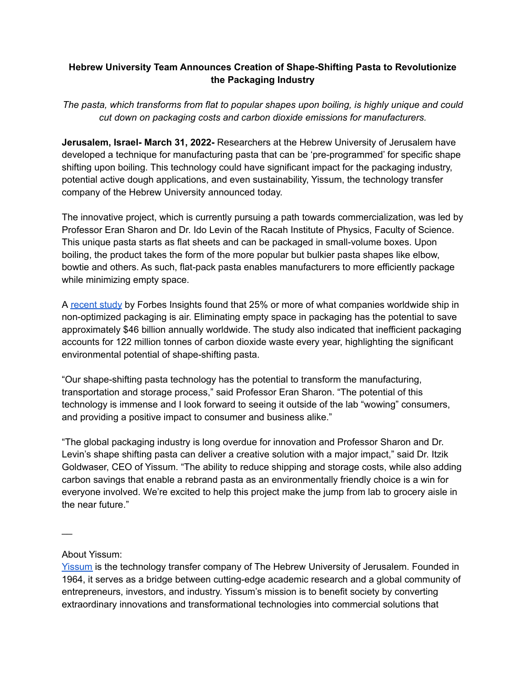## **Hebrew University Team Announces Creation of Shape-Shifting Pasta to Revolutionize the Packaging Industry**

*The pasta, which transforms from flat to popular shapes upon boiling, is highly unique and could cut down on packaging costs and carbon dioxide emissions for manufacturers.*

**Jerusalem, Israel- March 31, 2022-** Researchers at the Hebrew University of Jerusalem have developed a technique for manufacturing pasta that can be 'pre-programmed' for specific shape shifting upon boiling. This technology could have significant impact for the packaging industry, potential active dough applications, and even sustainability, Yissum, the technology transfer company of the Hebrew University announced today.

The innovative project, which is currently pursuing a path towards commercialization, was led by Professor Eran Sharon and Dr. Ido Levin of the Racah Institute of Physics, Faculty of Science. This unique pasta starts as flat sheets and can be packaged in small-volume boxes. Upon boiling, the product takes the form of the more popular but bulkier pasta shapes like elbow, bowtie and others. As such, flat-pack pasta enables manufacturers to more efficiently package while minimizing empty space.

A [recent](https://www.packaging-360.com/en/featured-en/new-study-too-much-empty-space-in-packaging/) study by Forbes Insights found that 25% or more of what companies worldwide ship in non-optimized packaging is air. Eliminating empty space in packaging has the potential to save approximately \$46 billion annually worldwide. The study also indicated that inefficient packaging accounts for 122 million tonnes of carbon dioxide waste every year, highlighting the significant environmental potential of shape-shifting pasta.

"Our shape-shifting pasta technology has the potential to transform the manufacturing, transportation and storage process," said Professor Eran Sharon. "The potential of this technology is immense and I look forward to seeing it outside of the lab "wowing" consumers, and providing a positive impact to consumer and business alike."

"The global packaging industry is long overdue for innovation and Professor Sharon and Dr. Levin's shape shifting pasta can deliver a creative solution with a major impact," said Dr. Itzik Goldwaser, CEO of Yissum. "The ability to reduce shipping and storage costs, while also adding carbon savings that enable a rebrand pasta as an environmentally friendly choice is a win for everyone involved. We're excited to help this project make the jump from lab to grocery aisle in the near future."

 $\overline{\phantom{a}}$ 

## About Yissum:

[Yissum](http://www.yissum.co.il) is the technology transfer company of The Hebrew University of Jerusalem. Founded in 1964, it serves as a bridge between cutting-edge academic research and a global community of entrepreneurs, investors, and industry. Yissum's mission is to benefit society by converting extraordinary innovations and transformational technologies into commercial solutions that